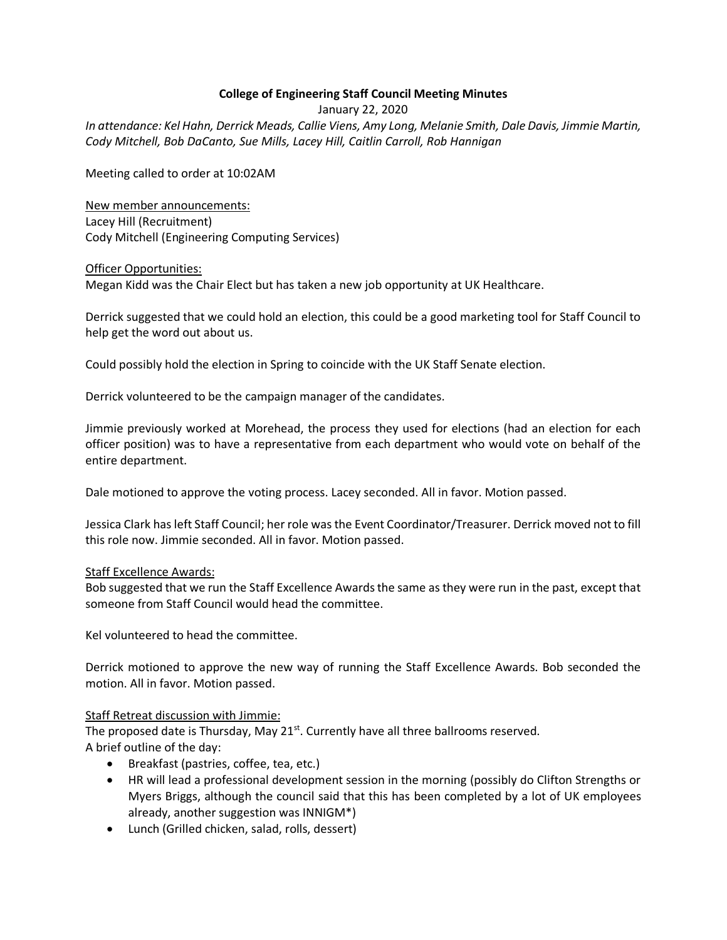# **College of Engineering Staff Council Meeting Minutes**

January 22, 2020

*In attendance: Kel Hahn, Derrick Meads, Callie Viens, Amy Long, Melanie Smith, Dale Davis, Jimmie Martin, Cody Mitchell, Bob DaCanto, Sue Mills, Lacey Hill, Caitlin Carroll, Rob Hannigan*

Meeting called to order at 10:02AM

New member announcements: Lacey Hill (Recruitment) Cody Mitchell (Engineering Computing Services)

### Officer Opportunities: Megan Kidd was the Chair Elect but has taken a new job opportunity at UK Healthcare.

Derrick suggested that we could hold an election, this could be a good marketing tool for Staff Council to help get the word out about us.

Could possibly hold the election in Spring to coincide with the UK Staff Senate election.

Derrick volunteered to be the campaign manager of the candidates.

Jimmie previously worked at Morehead, the process they used for elections (had an election for each officer position) was to have a representative from each department who would vote on behalf of the entire department.

Dale motioned to approve the voting process. Lacey seconded. All in favor. Motion passed.

Jessica Clark has left Staff Council; her role was the Event Coordinator/Treasurer. Derrick moved not to fill this role now. Jimmie seconded. All in favor. Motion passed.

## Staff Excellence Awards:

Bob suggested that we run the Staff Excellence Awards the same as they were run in the past, except that someone from Staff Council would head the committee.

Kel volunteered to head the committee.

Derrick motioned to approve the new way of running the Staff Excellence Awards. Bob seconded the motion. All in favor. Motion passed.

## Staff Retreat discussion with Jimmie:

The proposed date is Thursday, May 21<sup>st</sup>. Currently have all three ballrooms reserved. A brief outline of the day:

- Breakfast (pastries, coffee, tea, etc.)
- HR will lead a professional development session in the morning (possibly do Clifton Strengths or Myers Briggs, although the council said that this has been completed by a lot of UK employees already, another suggestion was INNIGM\*)
- Lunch (Grilled chicken, salad, rolls, dessert)